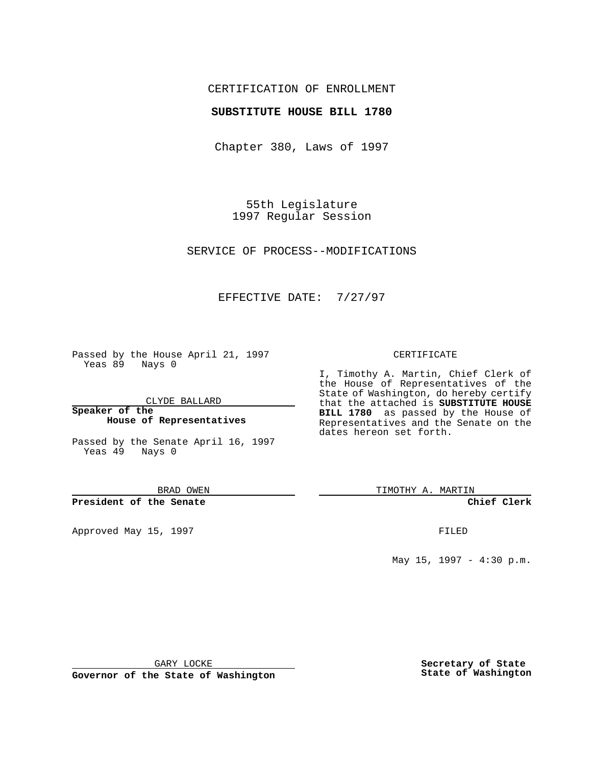## CERTIFICATION OF ENROLLMENT

#### **SUBSTITUTE HOUSE BILL 1780**

Chapter 380, Laws of 1997

55th Legislature 1997 Regular Session

SERVICE OF PROCESS--MODIFICATIONS

## EFFECTIVE DATE: 7/27/97

Passed by the House April 21, 1997 Yeas 89 Nays 0

CLYDE BALLARD

**Speaker of the House of Representatives**

Passed by the Senate April 16, 1997 Yeas 49 Nays 0

BRAD OWEN

**President of the Senate**

Approved May 15, 1997 **FILED** 

#### CERTIFICATE

I, Timothy A. Martin, Chief Clerk of the House of Representatives of the State of Washington, do hereby certify that the attached is **SUBSTITUTE HOUSE BILL 1780** as passed by the House of Representatives and the Senate on the dates hereon set forth.

TIMOTHY A. MARTIN

**Chief Clerk**

May 15, 1997 - 4:30 p.m.

GARY LOCKE

**Governor of the State of Washington**

**Secretary of State State of Washington**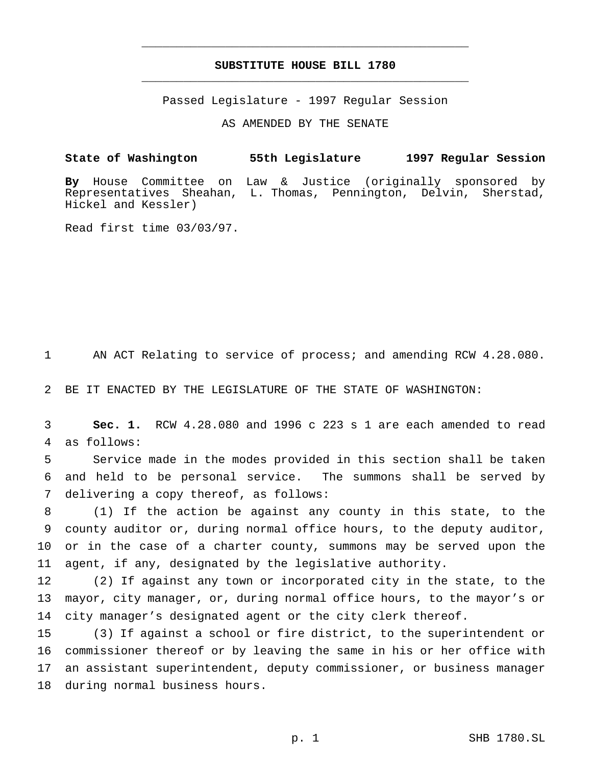# **SUBSTITUTE HOUSE BILL 1780** \_\_\_\_\_\_\_\_\_\_\_\_\_\_\_\_\_\_\_\_\_\_\_\_\_\_\_\_\_\_\_\_\_\_\_\_\_\_\_\_\_\_\_\_\_\_\_

\_\_\_\_\_\_\_\_\_\_\_\_\_\_\_\_\_\_\_\_\_\_\_\_\_\_\_\_\_\_\_\_\_\_\_\_\_\_\_\_\_\_\_\_\_\_\_

Passed Legislature - 1997 Regular Session

AS AMENDED BY THE SENATE

**State of Washington 55th Legislature 1997 Regular Session**

**By** House Committee on Law & Justice (originally sponsored by Representatives Sheahan, L. Thomas, Pennington, Delvin, Sherstad, Hickel and Kessler)

Read first time 03/03/97.

AN ACT Relating to service of process; and amending RCW 4.28.080.

BE IT ENACTED BY THE LEGISLATURE OF THE STATE OF WASHINGTON:

 **Sec. 1.** RCW 4.28.080 and 1996 c 223 s 1 are each amended to read as follows:

 Service made in the modes provided in this section shall be taken and held to be personal service. The summons shall be served by delivering a copy thereof, as follows:

 (1) If the action be against any county in this state, to the county auditor or, during normal office hours, to the deputy auditor, or in the case of a charter county, summons may be served upon the agent, if any, designated by the legislative authority.

 (2) If against any town or incorporated city in the state, to the mayor, city manager, or, during normal office hours, to the mayor's or city manager's designated agent or the city clerk thereof.

 (3) If against a school or fire district, to the superintendent or commissioner thereof or by leaving the same in his or her office with an assistant superintendent, deputy commissioner, or business manager during normal business hours.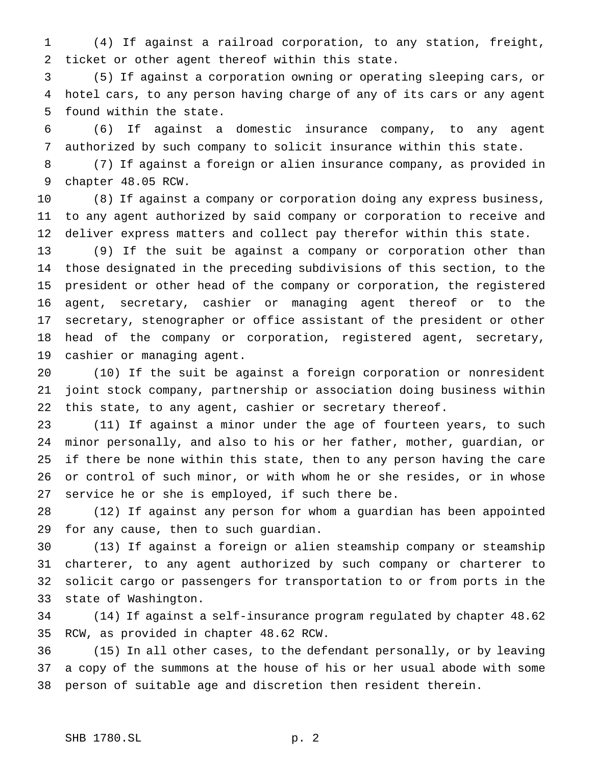(4) If against a railroad corporation, to any station, freight, ticket or other agent thereof within this state.

 (5) If against a corporation owning or operating sleeping cars, or hotel cars, to any person having charge of any of its cars or any agent found within the state.

 (6) If against a domestic insurance company, to any agent authorized by such company to solicit insurance within this state.

 (7) If against a foreign or alien insurance company, as provided in chapter 48.05 RCW.

 (8) If against a company or corporation doing any express business, to any agent authorized by said company or corporation to receive and deliver express matters and collect pay therefor within this state.

 (9) If the suit be against a company or corporation other than those designated in the preceding subdivisions of this section, to the president or other head of the company or corporation, the registered agent, secretary, cashier or managing agent thereof or to the secretary, stenographer or office assistant of the president or other head of the company or corporation, registered agent, secretary, cashier or managing agent.

 (10) If the suit be against a foreign corporation or nonresident joint stock company, partnership or association doing business within this state, to any agent, cashier or secretary thereof.

 (11) If against a minor under the age of fourteen years, to such minor personally, and also to his or her father, mother, guardian, or if there be none within this state, then to any person having the care or control of such minor, or with whom he or she resides, or in whose service he or she is employed, if such there be.

 (12) If against any person for whom a guardian has been appointed for any cause, then to such guardian.

 (13) If against a foreign or alien steamship company or steamship charterer, to any agent authorized by such company or charterer to solicit cargo or passengers for transportation to or from ports in the state of Washington.

 (14) If against a self-insurance program regulated by chapter 48.62 RCW, as provided in chapter 48.62 RCW.

 (15) In all other cases, to the defendant personally, or by leaving a copy of the summons at the house of his or her usual abode with some person of suitable age and discretion then resident therein.